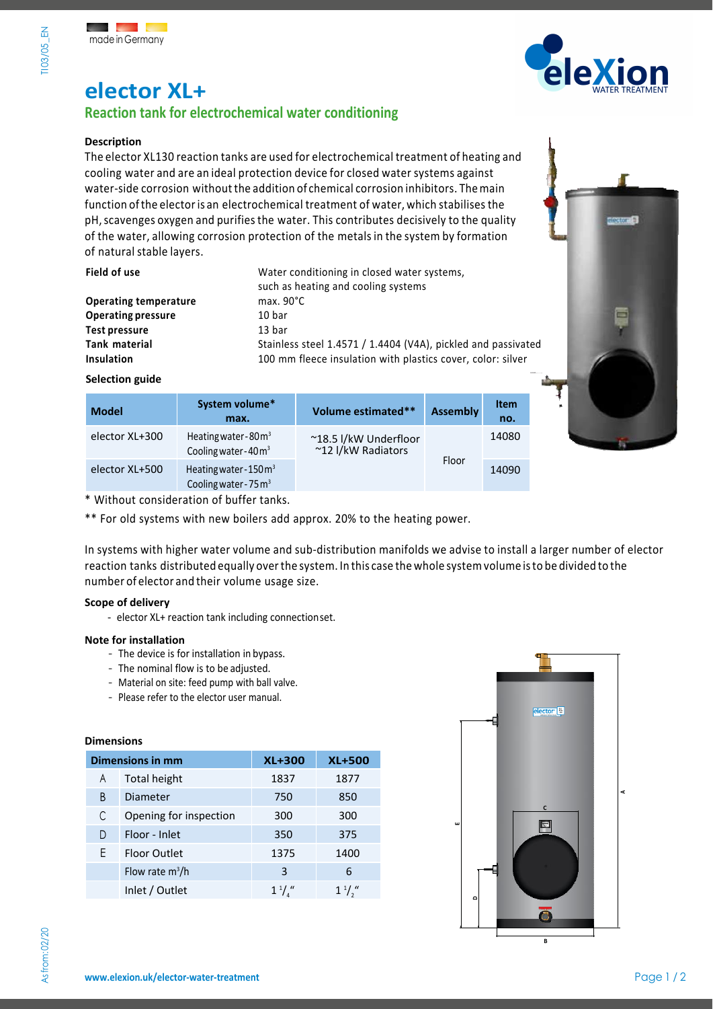

# **elector XL+**

### **Reaction tank for electrochemical water conditioning**

### **Description**

The elector XL130 reaction tanks are used for electrochemical treatment of heating and cooling water and are an ideal protection device for closed water systems against water-side corrosion without the addition of chemical corrosion inhibitors. Themain function ofthe electoris an electrochemical treatment of water, which stabilises the pH,scavenges oxygen and purifies the water. This contributes decisively to the quality of the water, allowing corrosion protection of the metalsin the system by formation of natural stable layers.

| Field of use                 | Water conditioning in closed water systems,<br>such as heating and cooling systems |  |
|------------------------------|------------------------------------------------------------------------------------|--|
| <b>Operating temperature</b> | max. $90^{\circ}$ C                                                                |  |
| <b>Operating pressure</b>    | 10 bar                                                                             |  |
| Test pressure                | 13 bar                                                                             |  |
| Tank material                | Stainless steel 1.4571 / 1.4404 (V4A), pickled and passivated                      |  |
| Insulation                   | 100 mm fleece insulation with plastics cover, color: silver                        |  |



| <b>Model</b>   | System volume*<br>max.                                               | Volume estimated**                          | <b>Assembly</b> | <b>Item</b><br>no. |
|----------------|----------------------------------------------------------------------|---------------------------------------------|-----------------|--------------------|
| elector XL+300 | Heating water-80 $m3$<br>Cooling water-40m <sup>3</sup>              | ~18.5 l/kW Underfloor<br>~12 I/kW Radiators |                 | 14080              |
| elector XL+500 | Heating water-150m <sup>3</sup><br>Cooling water - 75 m <sup>3</sup> | Floor                                       |                 | 14090              |

\* Without consideration of buffer tanks.

\*\* For old systems with new boilers add approx. 20% to the heating power.

In systems with higher water volume and sub-distribution manifolds we advise to install a larger number of elector reaction tanks distributed equally overthe system. In this case the whole system volume isto be divided to the number of elector and their volume usage size.

### **Scope of delivery**

- elector XL+ reaction tank including connection set.

#### **Note for installation**

- The device is for installation in bypass.
- The nominal flow is to be adjusted.
- Material on site: feed pump with ball valve.
- Please refer to the elector user manual.

### **Dimensions**

| <b>Dimensions in mm</b> |                        | <b>XL+300</b> | <b>XL+500</b>     |
|-------------------------|------------------------|---------------|-------------------|
| A                       | <b>Total height</b>    | 1837          | 1877              |
| B                       | Diameter               | 750           | 850               |
| С                       | Opening for inspection | 300           | 300               |
| D                       | Floor - Inlet          | 350           | 375               |
| F                       | Floor Outlet           | 1375          | 1400              |
|                         | Flow rate $m^3/h$      | 3             | 6                 |
|                         | Inlet / Outlet         | $1^{1}/x$     | $1^{\frac{1}{n}}$ |